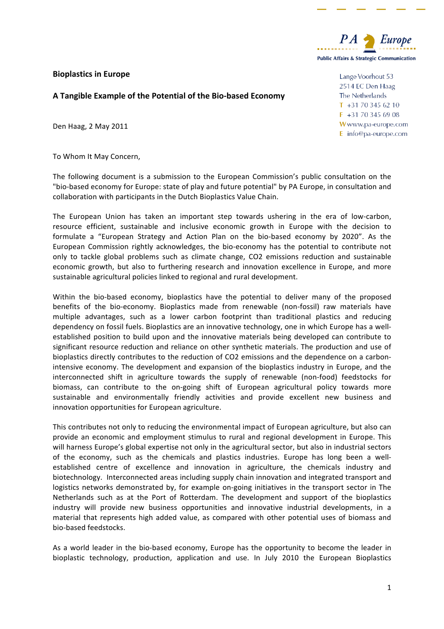# **Bioplastics in Europe**

## A Tangible Example of the Potential of the Bio-based Economy

Den Haag, 2 May 2011

To Whom It May Concern,

The following document is a submission to the European Commission's public consultation on the "bio-based economy for Europe: state of play and future potential" by PA Europe, in consultation and collaboration with participants in the Dutch Bioplastics Value Chain.

The European Union has taken an important step towards ushering in the era of low-carbon, resource efficient, sustainable and inclusive economic growth in Europe with the decision to formulate a "European Strategy and Action Plan on the bio-based economy by 2020". As the European Commission rightly acknowledges, the bio-economy has the potential to contribute not only to tackle global problems such as climate change, CO2 emissions reduction and sustainable economic growth, but also to furthering research and innovation excellence in Europe, and more sustainable agricultural policies linked to regional and rural development.

Within the bio-based economy, bioplastics have the potential to deliver many of the proposed benefits of the bio-economy. Bioplastics made from renewable (non-fossil) raw materials have multiple advantages, such as a lower carbon footprint than traditional plastics and reducing dependency on fossil fuels. Bioplastics are an innovative technology, one in which Europe has a wellestablished position to build upon and the innovative materials being developed can contribute to significant resource reduction and reliance on other synthetic materials. The production and use of bioplastics directly contributes to the reduction of CO2 emissions and the dependence on a carbonintensive economy. The development and expansion of the bioplastics industry in Europe, and the interconnected shift in agriculture towards the supply of renewable (non-food) feedstocks for biomass, can contribute to the on-going shift of European agricultural policy towards more sustainable and environmentally friendly activities and provide excellent new business and innovation opportunities for European agriculture.

This contributes not only to reducing the environmental impact of European agriculture, but also can provide an economic and employment stimulus to rural and regional development in Europe. This will harness Europe's global expertise not only in the agricultural sector, but also in industrial sectors of the economy, such as the chemicals and plastics industries. Europe has long been a wellestablished centre of excellence and innovation in agriculture, the chemicals industry and biotechnology. Interconnected areas including supply chain innovation and integrated transport and logistics networks demonstrated by, for example on-going initiatives in the transport sector in The Netherlands such as at the Port of Rotterdam. The development and support of the bioplastics industry will provide new business opportunities and innovative industrial developments, in a material that represents high added value, as compared with other potential uses of biomass and bio-based feedstocks.

As a world leader in the bio-based economy, Europe has the opportunity to become the leader in bioplastic technology, production, application and use. In July 2010 the European Bioplastics



Lange Voorhout 53 2514 EC Den Haag The Netherlands  $T$  +31 70 345 62 10  $F$  +31 70 345 69 08 Www.pa-europe.com E info@pa-europe.com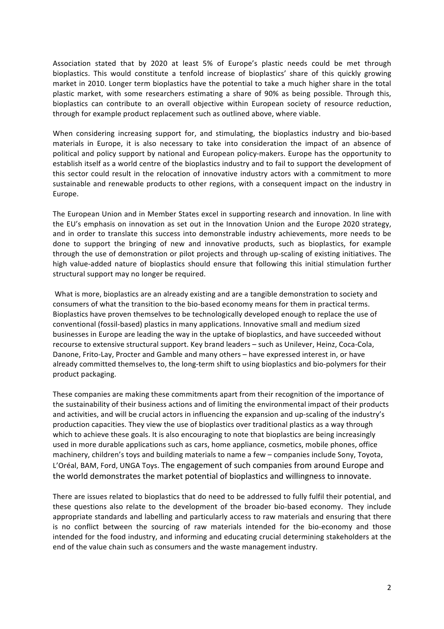Association stated that by 2020 at least 5% of Europe's plastic needs could be met through bioplastics. This would constitute a tenfold increase of bioplastics' share of this quickly growing market in 2010. Longer term bioplastics have the potential to take a much higher share in the total plastic market, with some researchers estimating a share of 90% as being possible. Through this, bioplastics can contribute to an overall objective within European society of resource reduction, through for example product replacement such as outlined above, where viable.

When considering increasing support for, and stimulating, the bioplastics industry and bio-based materials in Europe, it is also necessary to take into consideration the impact of an absence of political and policy support by national and European policy-makers. Europe has the opportunity to establish itself as a world centre of the bioplastics industry and to fail to support the development of this sector could result in the relocation of innovative industry actors with a commitment to more sustainable and renewable products to other regions, with a consequent impact on the industry in Europe."

The European Union and in Member States excel in supporting research and innovation. In line with the EU's emphasis on innovation as set out in the Innovation Union and the Europe 2020 strategy, and in order to translate this success into demonstrable industry achievements, more needs to be done to support the bringing of new and innovative products, such as bioplastics, for example through the use of demonstration or pilot projects and through up-scaling of existing initiatives. The high value-added nature of bioplastics should ensure that following this initial stimulation further structural support may no longer be required.

What is more, bioplastics are an already existing and are a tangible demonstration to society and consumers of what the transition to the bio-based economy means for them in practical terms. Bioplastics have proven themselves to be technologically developed enough to replace the use of conventional (fossil-based) plastics in many applications. Innovative small and medium sized businesses in Europe are leading the way in the uptake of bioplastics, and have succeeded without recourse to extensive structural support. Key brand leaders – such as Unilever, Heinz, Coca-Cola, Danone, Frito-Lay, Procter and Gamble and many others – have expressed interest in, or have already committed themselves to, the long-term shift to using bioplastics and bio-polymers for their product packaging.

These companies are making these commitments apart from their recognition of the importance of the sustainability of their business actions and of limiting the environmental impact of their products and activities, and will be crucial actors in influencing the expansion and up-scaling of the industry's production capacities. They view the use of bioplastics over traditional plastics as a way through which to achieve these goals. It is also encouraging to note that bioplastics are being increasingly used in more durable applications such as cars, home appliance, cosmetics, mobile phones, office machinery, children's toys and building materials to name a few – companies include Sony, Toyota, L'Oréal, BAM, Ford, UNGA Toys. The engagement of such companies from around Europe and the world demonstrates the market potential of bioplastics and willingness to innovate.

There are issues related to bioplastics that do need to be addressed to fully fulfil their potential, and these questions also relate to the development of the broader bio-based economy. They include appropriate standards and labelling and particularly access to raw materials and ensuring that there is no conflict between the sourcing of raw materials intended for the bio-economy and those intended for the food industry, and informing and educating crucial determining stakeholders at the end of the value chain such as consumers and the waste management industry.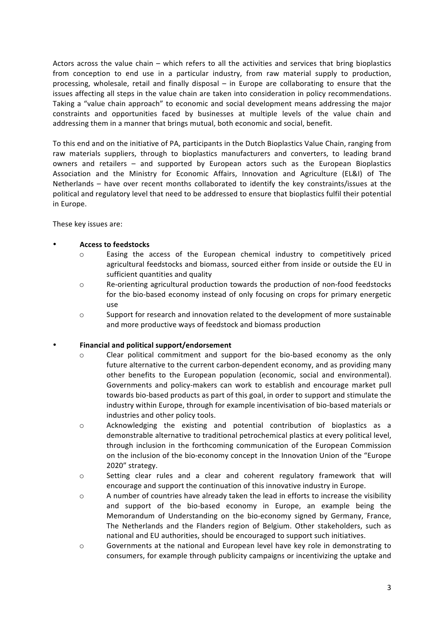Actors across the value chain – which refers to all the activities and services that bring bioplastics from conception to end use in a particular industry, from raw material supply to production, processing, wholesale, retail and finally disposal – in Europe are collaborating to ensure that the issues affecting all steps in the value chain are taken into consideration in policy recommendations. Taking a "value chain approach" to economic and social development means addressing the major constraints and opportunities faced by businesses at multiple levels of the value chain and addressing them in a manner that brings mutual, both economic and social, benefit.

To this end and on the initiative of PA, participants in the Dutch Bioplastics Value Chain, ranging from raw materials suppliers, through to bioplastics manufacturers and converters, to leading brand owners and retailers – and supported by European actors such as the European Bioplastics Association and the Ministry for Economic Affairs, Innovation and Agriculture (EL&I) of The Netherlands – have over recent months collaborated to identify the key constraints/issues at the political and regulatory level that need to be addressed to ensure that bioplastics fulfil their potential in Europe.

These key issues are:

## Access to feedstocks

- o Easing" the" access" of" the" European" chemical" industry" to" competitively" priced" agricultural feedstocks and biomass, sourced either from inside or outside the EU in sufficient quantities and quality
- $\circ$  Re-orienting agricultural production towards the production of non-food feedstocks for the bio-based economy instead of only focusing on crops for primary energetic use
- o Support for research and innovation related to the development of more sustainable and more productive ways of feedstock and biomass production

### Financial and political support/endorsement

- $\circ$  Clear political commitment and support for the bio-based economy as the only future alternative to the current carbon-dependent economy, and as providing many other benefits to the European population (economic, social and environmental). Governments and policy-makers can work to establish and encourage market pull towards bio-based products as part of this goal, in order to support and stimulate the industry within Europe, through for example incentivisation of bio-based materials or industries and other policy tools.
- $\circ$  Acknowledging the existing and potential contribution of bioplastics as a demonstrable alternative to traditional petrochemical plastics at every political level, through inclusion in the forthcoming communication of the European Commission on the inclusion of the bio-economy concept in the Innovation Union of the "Europe" 2020" strategy.
- $\circ$  Setting clear rules and a clear and coherent regulatory framework that will encourage and support the continuation of this innovative industry in Europe.
- $\circ$  A number of countries have already taken the lead in efforts to increase the visibility and support of the bio-based economy in Europe, an example being the Memorandum of Understanding on the bio-economy signed by Germany, France, The Netherlands and the Flanders region of Belgium. Other stakeholders, such as national and EU authorities, should be encouraged to support such initiatives.
- $\circ$  Governments at the national and European level have key role in demonstrating to consumers, for example through publicity campaigns or incentivizing the uptake and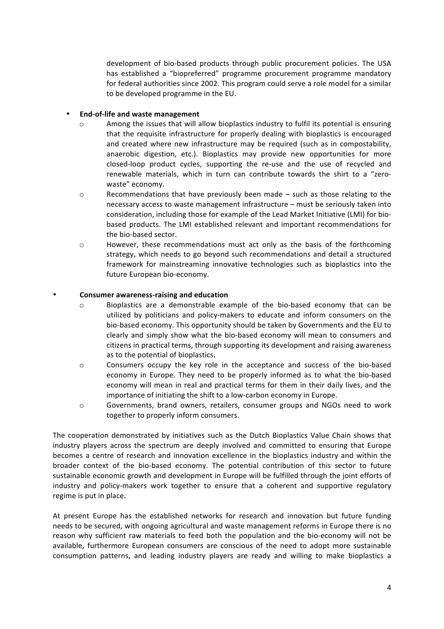development of bio-based products through public procurement policies. The USA has established a "biopreferred" programme procurement programme mandatory for federal authorities since 2002. This program could serve a role model for a similar to be developed programme in the EU.

## **End-of-life and waste management**

- o Among the issues that will allow bioplastics industry to fulfil its potential is ensuring that the requisite infrastructure for properly dealing with bioplastics is encouraged and created where new infrastructure may be required (such as in compostability, anaerobic digestion, etc.). Bioplastics may provide new opportunities for more closed-loop product cycles, supporting the re-use and the use of recycled and renewable materials, which in turn can contribute towards the shirt to a "zerowaste" economy.
- o Recommendations that have previously been made such as those relating to the necessary access to waste management infrastructure – must be seriously taken into consideration, including those for example of the Lead Market Initiative (LMI) for biobased products. The LMI established relevant and important recommendations for the bio-based sector.
- o However, these recommendations must act only as the basis of the forthcoming strategy, which needs to go beyond such recommendations and detail a structured framework for mainstreaming innovative technologies such as bioplastics into the future European bio-economy.

### **Consumer awareness-raising and education**

- $\circ$  Bioplastics are a demonstrable example of the bio-based economy that can be utilized by politicians and policy-makers to educate and inform consumers on the bio-based economy. This opportunity should be taken by Governments and the EU to clearly and simply show what the bio-based economy will mean to consumers and citizens in practical terms, through supporting its development and raising awareness as to the potential of bioplastics.
- $\circ$  Consumers occupy the key role in the acceptance and success of the bio-based economy in Europe. They need to be properly informed as to what the bio-based economy will mean in real and practical terms for them in their daily lives, and the importance of initiating the shift to a low-carbon economy in Europe.
- o Governments, brand owners, retailers, consumer groups and NGOs need to work together to properly inform consumers.

The cooperation demonstrated by initiatives such as the Dutch Bioplastics Value Chain shows that industry players across the spectrum are deeply involved and committed to ensuring that Europe becomes a centre of research and innovation excellence in the bioplastics industry and within the broader context of the bio-based economy. The potential contribution of this sector to future sustainable economic growth and development in Europe will be fulfilled through the joint efforts of industry and policy-makers work together to ensure that a coherent and supportive regulatory regime is put in place.

At present Europe has the established networks for research and innovation but future funding needs to be secured, with ongoing agricultural and waste management reforms in Europe there is no reason why sufficient raw materials to feed both the population and the bio-economy will not be available, furthermore European consumers are conscious of the need to adopt more sustainable consumption patterns, and leading industry players are ready and willing to make bioplastics a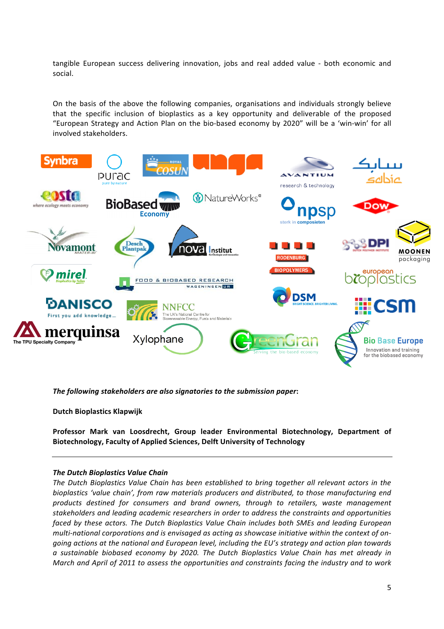tangible European success delivering innovation, jobs and real added value - both economic and social.

On the basis of the above the following companies, organisations and individuals strongly believe that the specific inclusion of bioplastics as a key opportunity and deliverable of the proposed "European Strategy and Action Plan on the bio-based economy by 2020" will be a 'win-win' for all involved stakeholders.



*The following stakeholders are also signatories to the submission paper:* 

**Dutch Bioplastics Klapwijk** 

**Professor\* Mark\* van\* Loosdrecht,\* Group\* leader\* Environmental\* Biotechnology,\* Department\* of\*** Biotechnology, Faculty of Applied Sciences, Delft University of Technology

#### *The Dutch Bioplastics Value Chain*

The Dutch Bioplastics Value Chain has been established to bring together all relevant actors in the bioplastics 'value chain', from raw materials producers and distributed, to those manufacturing end products destined for consumers and brand owners, through to retailers, waste management stakeholders and leading academic researchers in order to address the constraints and opportunities faced by these actors. The Dutch Bioplastics Value Chain includes both SMEs and leading European *multi-national corporations and is envisaged as acting as showcase initiative within the context of on*going actions at the national and European level, including the EU's strategy and action plan towards *a\$ sustainable\$ biobased\$ economy\$ by\$ 2020.\$ The\$ Dutch\$ Bioplastics\$ Value\$ Chain\$ has met\$ already\$ in\$ March and April of 2011 to assess the opportunities and constraints facing the industry and to work*